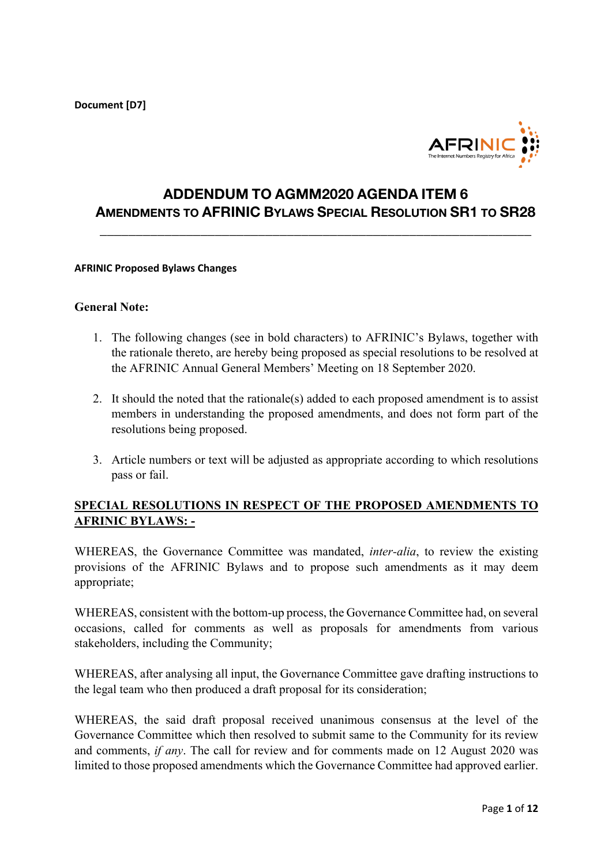**Document [D7]**



# **ADDENDUM TO AGMM2020 AGENDA ITEM 6 AMENDMENTS TO AFRINIC BYLAWS SPECIAL RESOLUTION SR1 TO SR28**

**\_\_\_\_\_\_\_\_\_\_\_\_\_\_\_\_\_\_\_\_\_\_\_\_\_\_\_\_\_\_\_\_\_\_\_\_\_\_\_\_\_\_\_\_\_\_\_\_\_\_\_\_\_\_\_\_\_\_\_\_**

#### **AFRINIC Proposed Bylaws Changes**

#### **General Note:**

- 1. The following changes (see in bold characters) to AFRINIC's Bylaws, together with the rationale thereto, are hereby being proposed as special resolutions to be resolved at the AFRINIC Annual General Members' Meeting on 18 September 2020.
- 2. It should the noted that the rationale(s) added to each proposed amendment is to assist members in understanding the proposed amendments, and does not form part of the resolutions being proposed.
- 3. Article numbers or text will be adjusted as appropriate according to which resolutions pass or fail.

#### **SPECIAL RESOLUTIONS IN RESPECT OF THE PROPOSED AMENDMENTS TO AFRINIC BYLAWS: -**

WHEREAS, the Governance Committee was mandated, *inter-alia*, to review the existing provisions of the AFRINIC Bylaws and to propose such amendments as it may deem appropriate;

WHEREAS, consistent with the bottom-up process, the Governance Committee had, on several occasions, called for comments as well as proposals for amendments from various stakeholders, including the Community;

WHEREAS, after analysing all input, the Governance Committee gave drafting instructions to the legal team who then produced a draft proposal for its consideration;

WHEREAS, the said draft proposal received unanimous consensus at the level of the Governance Committee which then resolved to submit same to the Community for its review and comments, *if any*. The call for review and for comments made on 12 August 2020 was limited to those proposed amendments which the Governance Committee had approved earlier.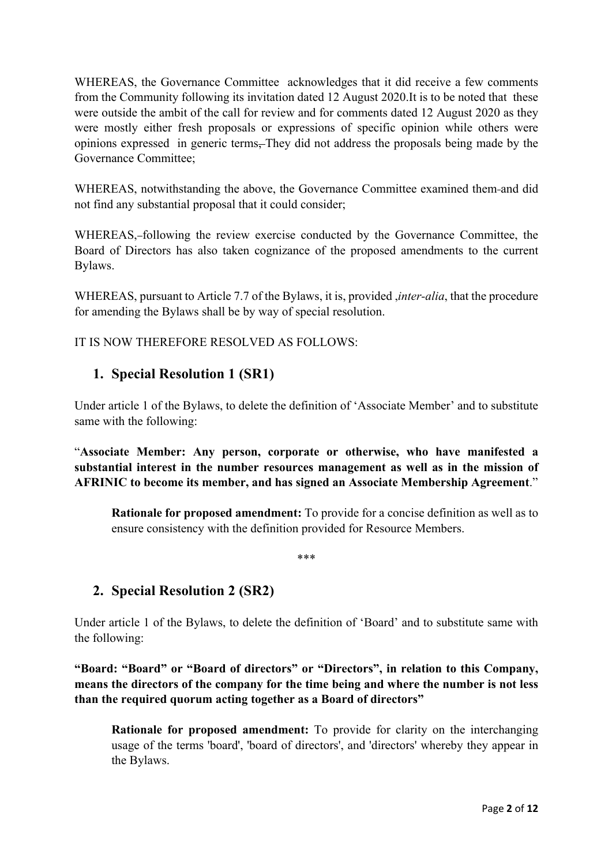WHEREAS, the Governance Committee acknowledges that it did receive a few comments from the Community following its invitation dated 12 August 2020.It is to be noted that these were outside the ambit of the call for review and for comments dated 12 August 2020 as they were mostly either fresh proposals or expressions of specific opinion while others were opinions expressed in generic terms, They did not address the proposals being made by the Governance Committee;

WHEREAS, notwithstanding the above, the Governance Committee examined them and did not find any substantial proposal that it could consider;

WHEREAS,-following the review exercise conducted by the Governance Committee, the Board of Directors has also taken cognizance of the proposed amendments to the current Bylaws.

WHEREAS, pursuant to Article 7.7 of the Bylaws, it is, provided ,*inter-alia*, that the procedure for amending the Bylaws shall be by way of special resolution.

IT IS NOW THEREFORE RESOLVED AS FOLLOWS:

# **1. Special Resolution 1 (SR1)**

Under article 1 of the Bylaws, to delete the definition of 'Associate Member' and to substitute same with the following:

"**Associate Member: Any person, corporate or otherwise, who have manifested a substantial interest in the number resources management as well as in the mission of AFRINIC to become its member, and has signed an Associate Membership Agreement**."

**Rationale for proposed amendment:** To provide for a concise definition as well as to ensure consistency with the definition provided for Resource Members.

\*\*\*

# **2. Special Resolution 2 (SR2)**

Under article 1 of the Bylaws, to delete the definition of 'Board' and to substitute same with the following:

**"Board: "Board" or "Board of directors" or "Directors", in relation to this Company, means the directors of the company for the time being and where the number is not less than the required quorum acting together as a Board of directors"**

**Rationale for proposed amendment:** To provide for clarity on the interchanging usage of the terms 'board', 'board of directors', and 'directors' whereby they appear in the Bylaws.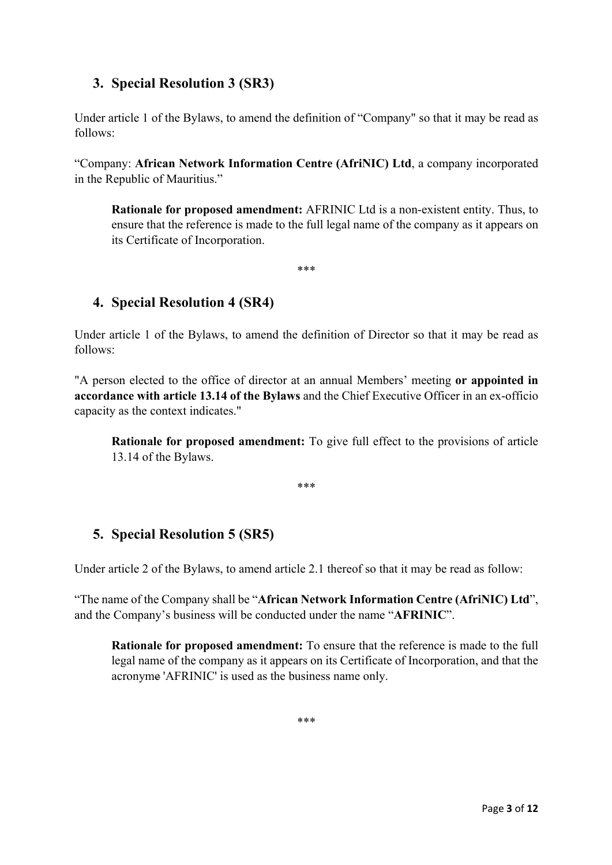# **3. Special Resolution 3 (SR3)**

Under article 1 of the Bylaws, to amend the definition of "Company" so that it may be read as follows:

"Company: **African Network Information Centre (AfriNIC) Ltd**, a company incorporated in the Republic of Mauritius."

**Rationale for proposed amendment:** AFRINIC Ltd is a non-existent entity. Thus, to ensure that the reference is made to the full legal name of the company as it appears on its Certificate of Incorporation.

\*\*\*

# **4. Special Resolution 4 (SR4)**

Under article 1 of the Bylaws, to amend the definition of Director so that it may be read as follows:

"A person elected to the office of director at an annual Members' meeting **or appointed in accordance with article 13.14 of the Bylaws** and the Chief Executive Officer in an ex-officio capacity as the context indicates."

**Rationale for proposed amendment:** To give full effect to the provisions of article 13.14 of the Bylaws.

\*\*\*

# **5. Special Resolution 5 (SR5)**

Under article 2 of the Bylaws, to amend article 2.1 thereof so that it may be read as follow:

"The name of the Company shall be "**African Network Information Centre (AfriNIC) Ltd**", and the Company's business will be conducted under the name "**AFRINIC**".

**Rationale for proposed amendment:** To ensure that the reference is made to the full legal name of the company as it appears on its Certificate of Incorporation, and that the acronyme 'AFRINIC' is used as the business name only.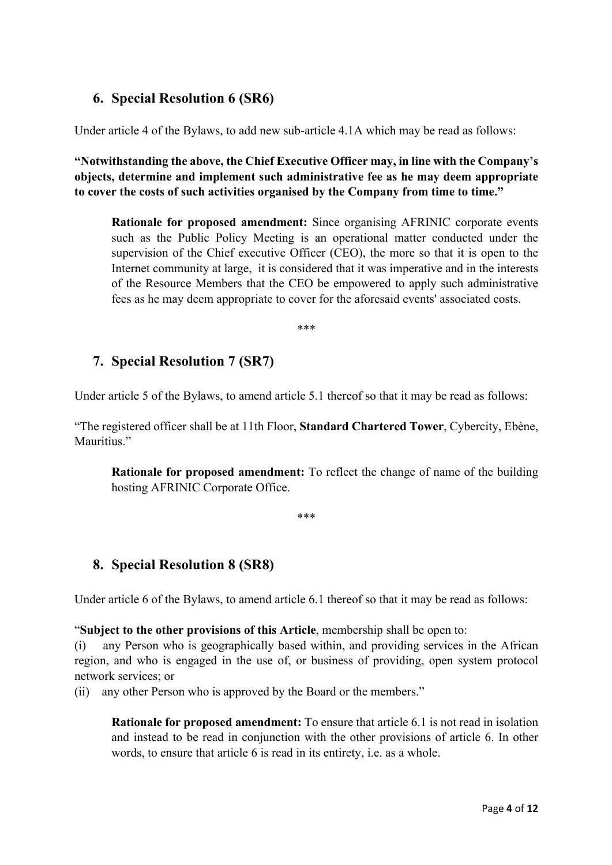# **6. Special Resolution 6 (SR6)**

Under article 4 of the Bylaws, to add new sub-article 4.1A which may be read as follows:

**"Notwithstanding the above, the Chief Executive Officer may, in line with the Company's objects, determine and implement such administrative fee as he may deem appropriate to cover the costs of such activities organised by the Company from time to time."**

**Rationale for proposed amendment:** Since organising AFRINIC corporate events such as the Public Policy Meeting is an operational matter conducted under the supervision of the Chief executive Officer (CEO), the more so that it is open to the Internet community at large, it is considered that it was imperative and in the interests of the Resource Members that the CEO be empowered to apply such administrative fees as he may deem appropriate to cover for the aforesaid events' associated costs.

\*\*\*

### **7. Special Resolution 7 (SR7)**

Under article 5 of the Bylaws, to amend article 5.1 thereof so that it may be read as follows:

"The registered officer shall be at 11th Floor, **Standard Chartered Tower**, Cybercity, Ebène, Mauritius."

**Rationale for proposed amendment:** To reflect the change of name of the building hosting AFRINIC Corporate Office.

#### \*\*\*

# **8. Special Resolution 8 (SR8)**

Under article 6 of the Bylaws, to amend article 6.1 thereof so that it may be read as follows:

"**Subject to the other provisions of this Article**, membership shall be open to:

(i) any Person who is geographically based within, and providing services in the African region, and who is engaged in the use of, or business of providing, open system protocol network services; or

(ii) any other Person who is approved by the Board or the members."

**Rationale for proposed amendment:** To ensure that article 6.1 is not read in isolation and instead to be read in conjunction with the other provisions of article 6. In other words, to ensure that article 6 is read in its entirety, i.e. as a whole.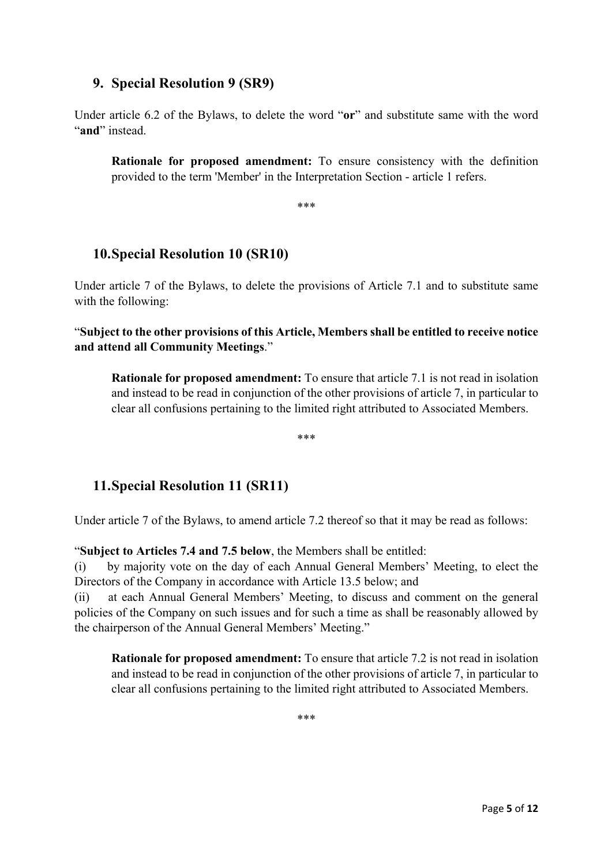#### **9. Special Resolution 9 (SR9)**

Under article 6.2 of the Bylaws, to delete the word "**or**" and substitute same with the word "and" instead.

**Rationale for proposed amendment:** To ensure consistency with the definition provided to the term 'Member' in the Interpretation Section - article 1 refers.

\*\*\*

### **10.Special Resolution 10 (SR10)**

Under article 7 of the Bylaws, to delete the provisions of Article 7.1 and to substitute same with the following:

"**Subject to the other provisions of this Article, Members shall be entitled to receive notice and attend all Community Meetings**."

**Rationale for proposed amendment:** To ensure that article 7.1 is not read in isolation and instead to be read in conjunction of the other provisions of article 7, in particular to clear all confusions pertaining to the limited right attributed to Associated Members.

\*\*\*

# **11.Special Resolution 11 (SR11)**

Under article 7 of the Bylaws, to amend article 7.2 thereof so that it may be read as follows:

"**Subject to Articles 7.4 and 7.5 below**, the Members shall be entitled:

(i) by majority vote on the day of each Annual General Members' Meeting, to elect the Directors of the Company in accordance with Article 13.5 below; and

(ii) at each Annual General Members' Meeting, to discuss and comment on the general policies of the Company on such issues and for such a time as shall be reasonably allowed by the chairperson of the Annual General Members' Meeting."

**Rationale for proposed amendment:** To ensure that article 7.2 is not read in isolation and instead to be read in conjunction of the other provisions of article 7, in particular to clear all confusions pertaining to the limited right attributed to Associated Members.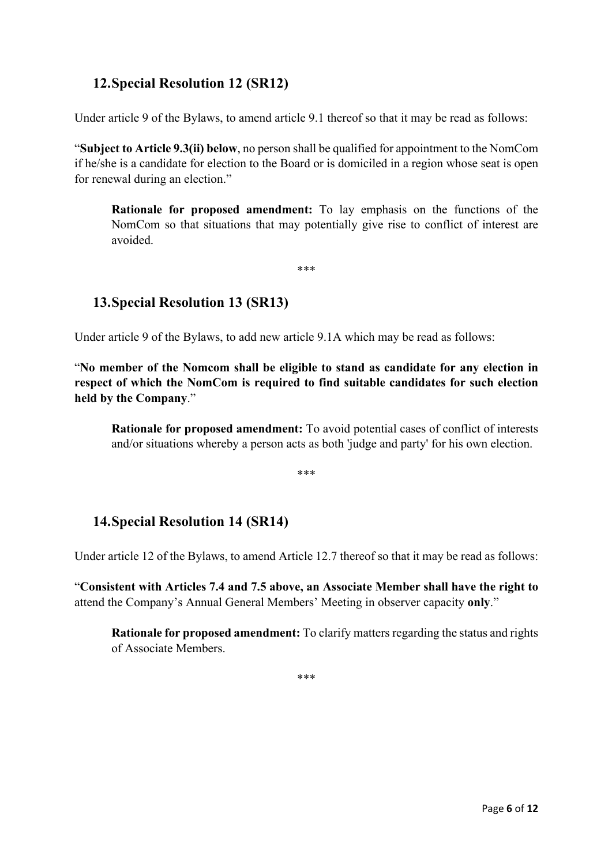# **12.Special Resolution 12 (SR12)**

Under article 9 of the Bylaws, to amend article 9.1 thereof so that it may be read as follows:

"**Subject to Article 9.3(ii) below**, no person shall be qualified for appointment to the NomCom if he/she is a candidate for election to the Board or is domiciled in a region whose seat is open for renewal during an election."

**Rationale for proposed amendment:** To lay emphasis on the functions of the NomCom so that situations that may potentially give rise to conflict of interest are avoided.

\*\*\*

### **13.Special Resolution 13 (SR13)**

Under article 9 of the Bylaws, to add new article 9.1A which may be read as follows:

"**No member of the Nomcom shall be eligible to stand as candidate for any election in respect of which the NomCom is required to find suitable candidates for such election held by the Company**."

**Rationale for proposed amendment:** To avoid potential cases of conflict of interests and/or situations whereby a person acts as both 'judge and party' for his own election.

\*\*\*

# **14.Special Resolution 14 (SR14)**

Under article 12 of the Bylaws, to amend Article 12.7 thereof so that it may be read as follows:

"**Consistent with Articles 7.4 and 7.5 above, an Associate Member shall have the right to** attend the Company's Annual General Members' Meeting in observer capacity **only**."

**Rationale for proposed amendment:** To clarify matters regarding the status and rights of Associate Members.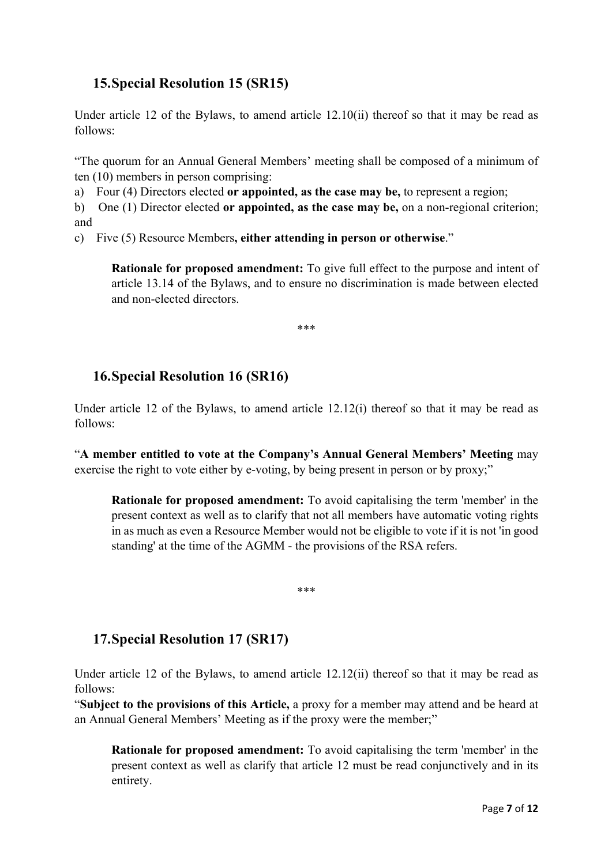# **15.Special Resolution 15 (SR15)**

Under article 12 of the Bylaws, to amend article 12.10(ii) thereof so that it may be read as follows:

"The quorum for an Annual General Members' meeting shall be composed of a minimum of ten (10) members in person comprising:

a) Four (4) Directors elected **or appointed, as the case may be,** to represent a region;

b) One (1) Director elected **or appointed, as the case may be,** on a non-regional criterion; and

c) Five (5) Resource Members**, either attending in person or otherwise**."

**Rationale for proposed amendment:** To give full effect to the purpose and intent of article 13.14 of the Bylaws, and to ensure no discrimination is made between elected and non-elected directors.

\*\*\*

# **16.Special Resolution 16 (SR16)**

Under article 12 of the Bylaws, to amend article 12.12(i) thereof so that it may be read as follows:

"**A member entitled to vote at the Company's Annual General Members' Meeting** may exercise the right to vote either by e-voting, by being present in person or by proxy;"

**Rationale for proposed amendment:** To avoid capitalising the term 'member' in the present context as well as to clarify that not all members have automatic voting rights in as much as even a Resource Member would not be eligible to vote if it is not 'in good standing' at the time of the AGMM - the provisions of the RSA refers.

\*\*\*

# **17.Special Resolution 17 (SR17)**

Under article 12 of the Bylaws, to amend article 12.12(ii) thereof so that it may be read as follows:

"**Subject to the provisions of this Article,** a proxy for a member may attend and be heard at an Annual General Members' Meeting as if the proxy were the member;"

**Rationale for proposed amendment:** To avoid capitalising the term 'member' in the present context as well as clarify that article 12 must be read conjunctively and in its entirety.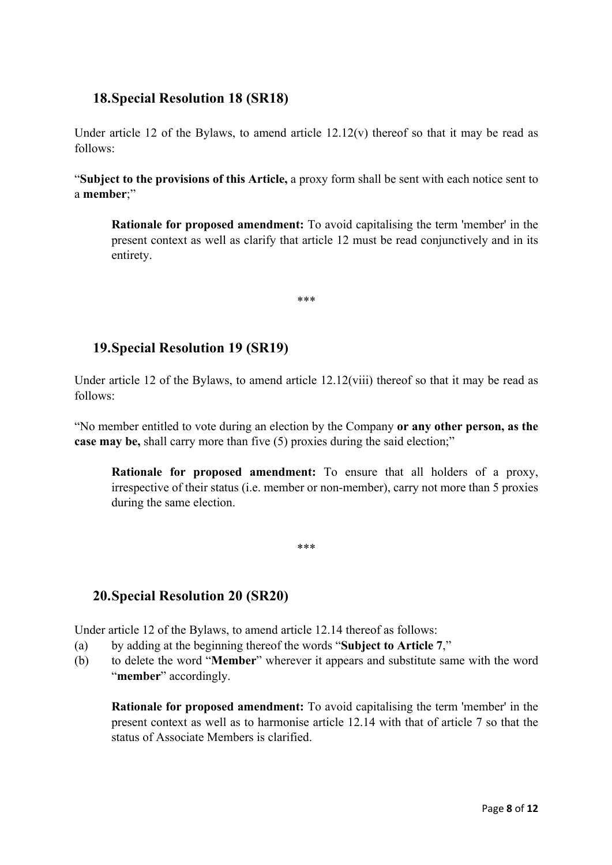#### **18.Special Resolution 18 (SR18)**

Under article 12 of the Bylaws, to amend article  $12.12(v)$  thereof so that it may be read as follows:

"**Subject to the provisions of this Article,** a proxy form shall be sent with each notice sent to a **member**;"

**Rationale for proposed amendment:** To avoid capitalising the term 'member' in the present context as well as clarify that article 12 must be read conjunctively and in its entirety.

**19.Special Resolution 19 (SR19)**

Under article 12 of the Bylaws, to amend article 12.12(viii) thereof so that it may be read as follows:

\*\*\*

"No member entitled to vote during an election by the Company **or any other person, as the case may be,** shall carry more than five (5) proxies during the said election;"

**Rationale for proposed amendment:** To ensure that all holders of a proxy, irrespective of their status (i.e. member or non-member), carry not more than 5 proxies during the same election.

\*\*\*

# **20.Special Resolution 20 (SR20)**

Under article 12 of the Bylaws, to amend article 12.14 thereof as follows:

- (a) by adding at the beginning thereof the words "**Subject to Article 7**,"
- (b) to delete the word "**Member**" wherever it appears and substitute same with the word "member" accordingly.

**Rationale for proposed amendment:** To avoid capitalising the term 'member' in the present context as well as to harmonise article 12.14 with that of article 7 so that the status of Associate Members is clarified.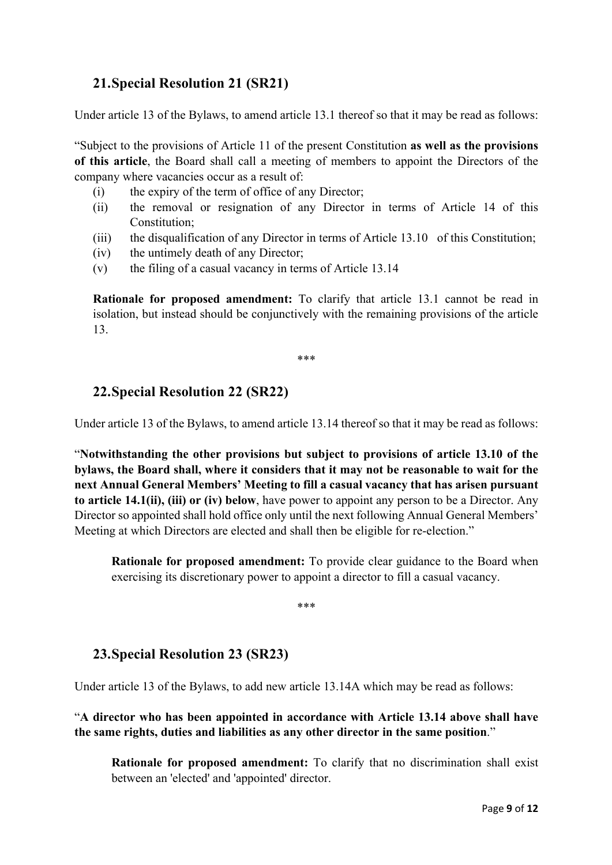# **21.Special Resolution 21 (SR21)**

Under article 13 of the Bylaws, to amend article 13.1 thereof so that it may be read as follows:

"Subject to the provisions of Article 11 of the present Constitution **as well as the provisions of this article**, the Board shall call a meeting of members to appoint the Directors of the company where vacancies occur as a result of:

- (i) the expiry of the term of office of any Director;
- (ii) the removal or resignation of any Director in terms of Article 14 of this Constitution;
- (iii) the disqualification of any Director in terms of Article 13.10 of this Constitution;
- (iv) the untimely death of any Director;
- (v) the filing of a casual vacancy in terms of Article 13.14

**Rationale for proposed amendment:** To clarify that article 13.1 cannot be read in isolation, but instead should be conjunctively with the remaining provisions of the article 13.

\*\*\*

### **22.Special Resolution 22 (SR22)**

Under article 13 of the Bylaws, to amend article 13.14 thereof so that it may be read as follows:

"**Notwithstanding the other provisions but subject to provisions of article 13.10 of the bylaws, the Board shall, where it considers that it may not be reasonable to wait for the next Annual General Members' Meeting to fill a casual vacancy that has arisen pursuant to article 14.1(ii), (iii) or (iv) below**, have power to appoint any person to be a Director. Any Director so appointed shall hold office only until the next following Annual General Members' Meeting at which Directors are elected and shall then be eligible for re-election."

**Rationale for proposed amendment:** To provide clear guidance to the Board when exercising its discretionary power to appoint a director to fill a casual vacancy.

\*\*\*

# **23.Special Resolution 23 (SR23)**

Under article 13 of the Bylaws, to add new article 13.14A which may be read as follows:

"**A director who has been appointed in accordance with Article 13.14 above shall have the same rights, duties and liabilities as any other director in the same position**."

**Rationale for proposed amendment:** To clarify that no discrimination shall exist between an 'elected' and 'appointed' director.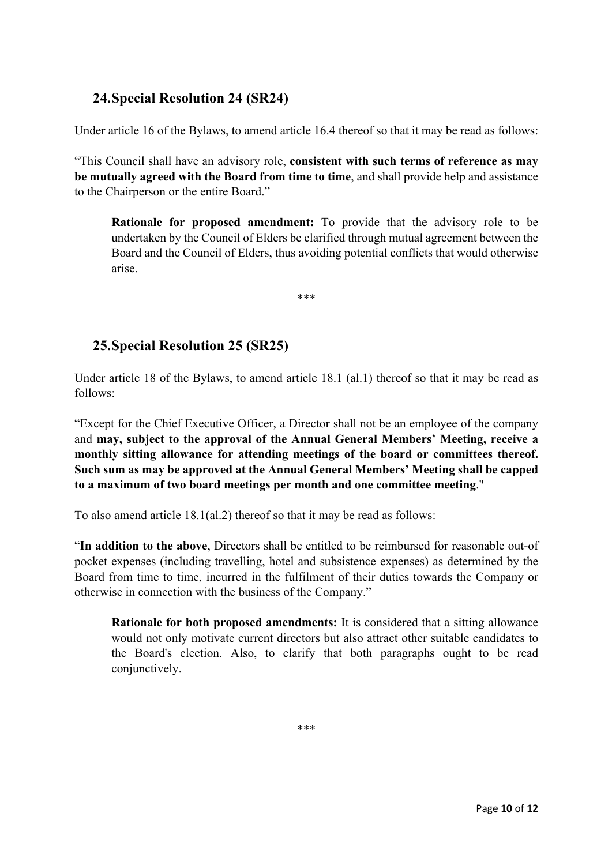# **24.Special Resolution 24 (SR24)**

Under article 16 of the Bylaws, to amend article 16.4 thereof so that it may be read as follows:

"This Council shall have an advisory role, **consistent with such terms of reference as may be mutually agreed with the Board from time to time**, and shall provide help and assistance to the Chairperson or the entire Board."

**Rationale for proposed amendment:** To provide that the advisory role to be undertaken by the Council of Elders be clarified through mutual agreement between the Board and the Council of Elders, thus avoiding potential conflicts that would otherwise arise.

\*\*\*

# **25.Special Resolution 25 (SR25)**

Under article 18 of the Bylaws, to amend article 18.1 (al.1) thereof so that it may be read as follows:

"Except for the Chief Executive Officer, a Director shall not be an employee of the company and **may, subject to the approval of the Annual General Members' Meeting, receive a monthly sitting allowance for attending meetings of the board or committees thereof. Such sum as may be approved at the Annual General Members' Meeting shall be capped to a maximum of two board meetings per month and one committee meeting**."

To also amend article 18.1(al.2) thereof so that it may be read as follows:

"**In addition to the above**, Directors shall be entitled to be reimbursed for reasonable out-of pocket expenses (including travelling, hotel and subsistence expenses) as determined by the Board from time to time, incurred in the fulfilment of their duties towards the Company or otherwise in connection with the business of the Company."

**Rationale for both proposed amendments:** It is considered that a sitting allowance would not only motivate current directors but also attract other suitable candidates to the Board's election. Also, to clarify that both paragraphs ought to be read conjunctively.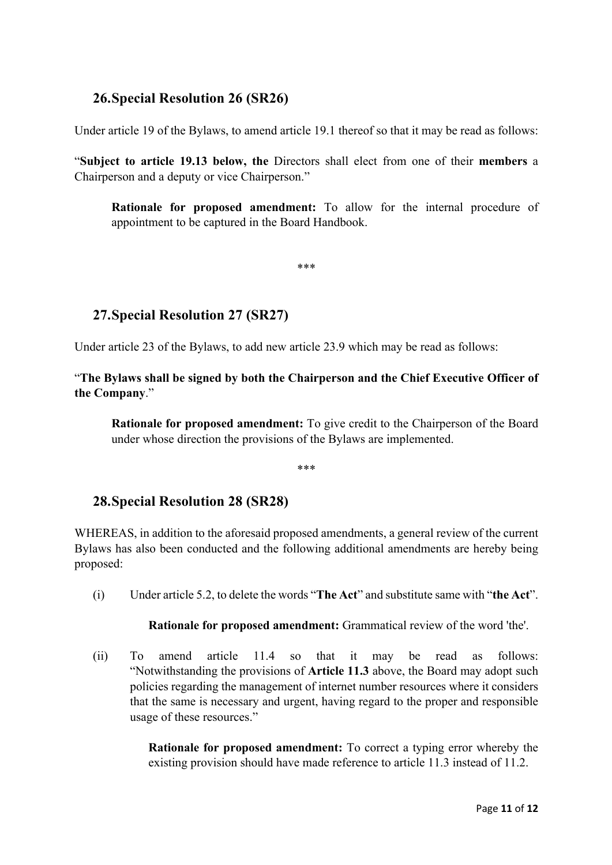#### **26.Special Resolution 26 (SR26)**

Under article 19 of the Bylaws, to amend article 19.1 thereof so that it may be read as follows:

"**Subject to article 19.13 below, the** Directors shall elect from one of their **members** a Chairperson and a deputy or vice Chairperson."

**Rationale for proposed amendment:** To allow for the internal procedure of appointment to be captured in the Board Handbook.

\*\*\*

# **27.Special Resolution 27 (SR27)**

Under article 23 of the Bylaws, to add new article 23.9 which may be read as follows:

"**The Bylaws shall be signed by both the Chairperson and the Chief Executive Officer of the Company**."

**Rationale for proposed amendment:** To give credit to the Chairperson of the Board under whose direction the provisions of the Bylaws are implemented.

\*\*\*

# **28.Special Resolution 28 (SR28)**

WHEREAS, in addition to the aforesaid proposed amendments, a general review of the current Bylaws has also been conducted and the following additional amendments are hereby being proposed:

(i) Under article 5.2, to delete the words "**The Act**" and substitute same with "**the Act**".

**Rationale for proposed amendment:** Grammatical review of the word 'the'.

(ii) To amend article 11.4 so that it may be read as follows: "Notwithstanding the provisions of **Article 11.3** above, the Board may adopt such policies regarding the management of internet number resources where it considers that the same is necessary and urgent, having regard to the proper and responsible usage of these resources."

> **Rationale for proposed amendment:** To correct a typing error whereby the existing provision should have made reference to article 11.3 instead of 11.2.